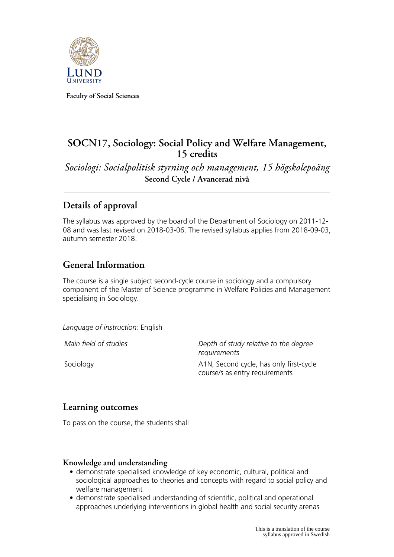

**Faculty of Social Sciences**

# **SOCN17, Sociology: Social Policy and Welfare Management, 15 credits**

*Sociologi: Socialpolitisk styrning och management, 15 högskolepoäng* **Second Cycle / Avancerad nivå**

# **Details of approval**

The syllabus was approved by the board of the Department of Sociology on 2011-12- 08 and was last revised on 2018-03-06. The revised syllabus applies from 2018-09-03, autumn semester 2018.

## **General Information**

The course is a single subject second-cycle course in sociology and a compulsory component of the Master of Science programme in Welfare Policies and Management specialising in Sociology.

*Language of instruction:* English

*Main field of studies Depth of study relative to the degree requirements* Sociology **A1N, Second cycle, has only first-cycle** course/s as entry requirements

## **Learning outcomes**

To pass on the course, the students shall

### **Knowledge and understanding**

- demonstrate specialised knowledge of key economic, cultural, political and sociological approaches to theories and concepts with regard to social policy and welfare management
- demonstrate specialised understanding of scientific, political and operational approaches underlying interventions in global health and social security arenas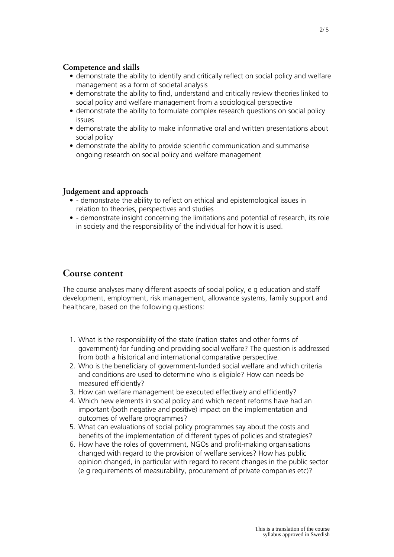#### **Competence and skills**

- demonstrate the ability to identify and critically reflect on social policy and welfare management as a form of societal analysis
- demonstrate the ability to find, understand and critically review theories linked to social policy and welfare management from a sociological perspective
- demonstrate the ability to formulate complex research questions on social policy issues
- demonstrate the ability to make informative oral and written presentations about social policy
- demonstrate the ability to provide scientific communication and summarise ongoing research on social policy and welfare management

#### **Judgement and approach**

- - demonstrate the ability to reflect on ethical and epistemological issues in relation to theories, perspectives and studies
- - demonstrate insight concerning the limitations and potential of research, its role in society and the responsibility of the individual for how it is used.

### **Course content**

The course analyses many different aspects of social policy, e g education and staff development, employment, risk management, allowance systems, family support and healthcare, based on the following questions:

- 1. What is the responsibility of the state (nation states and other forms of government) for funding and providing social welfare? The question is addressed from both a historical and international comparative perspective.
- 2. Who is the beneficiary of government-funded social welfare and which criteria and conditions are used to determine who is eligible? How can needs be measured efficiently?
- 3. How can welfare management be executed effectively and efficiently?
- 4. Which new elements in social policy and which recent reforms have had an important (both negative and positive) impact on the implementation and outcomes of welfare programmes?
- 5. What can evaluations of social policy programmes say about the costs and benefits of the implementation of different types of policies and strategies?
- 6. How have the roles of government, NGOs and profit-making organisations changed with regard to the provision of welfare services? How has public opinion changed, in particular with regard to recent changes in the public sector (e g requirements of measurability, procurement of private companies etc)?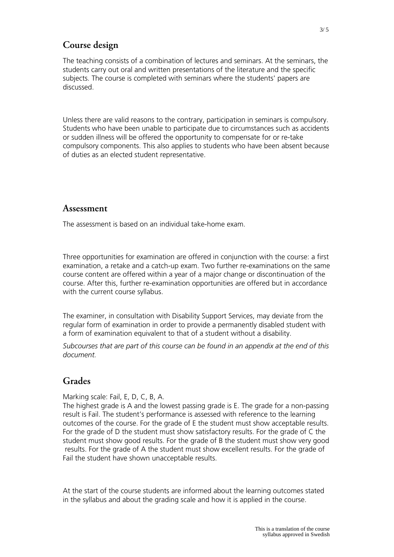## **Course design**

The teaching consists of a combination of lectures and seminars. At the seminars, the students carry out oral and written presentations of the literature and the specific subjects. The course is completed with seminars where the students' papers are discussed.

Unless there are valid reasons to the contrary, participation in seminars is compulsory. Students who have been unable to participate due to circumstances such as accidents or sudden illness will be offered the opportunity to compensate for or re-take compulsory components. This also applies to students who have been absent because of duties as an elected student representative.

#### **Assessment**

The assessment is based on an individual take-home exam.

Three opportunities for examination are offered in conjunction with the course: a first examination, a retake and a catch-up exam. Two further re-examinations on the same course content are offered within a year of a major change or discontinuation of the course. After this, further re-examination opportunities are offered but in accordance with the current course syllabus.

The examiner, in consultation with Disability Support Services, may deviate from the regular form of examination in order to provide a permanently disabled student with a form of examination equivalent to that of a student without a disability.

*Subcourses that are part of this course can be found in an appendix at the end of this document.*

### **Grades**

Marking scale: Fail, E, D, C, B, A.

The highest grade is A and the lowest passing grade is E. The grade for a non-passing result is Fail. The student's performance is assessed with reference to the learning outcomes of the course. For the grade of E the student must show acceptable results. For the grade of D the student must show satisfactory results. For the grade of C the student must show good results. For the grade of B the student must show very good results. For the grade of A the student must show excellent results. For the grade of Fail the student have shown unacceptable results.

At the start of the course students are informed about the learning outcomes stated in the syllabus and about the grading scale and how it is applied in the course.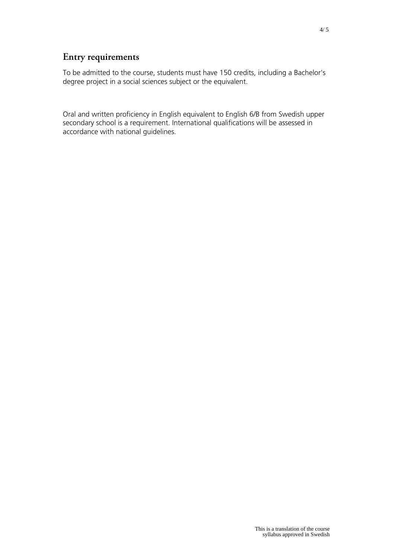# **Entry requirements**

To be admitted to the course, students must have 150 credits, including a Bachelor's degree project in a social sciences subject or the equivalent.

Oral and written proficiency in English equivalent to English 6/B from Swedish upper secondary school is a requirement. International qualifications will be assessed in accordance with national guidelines.